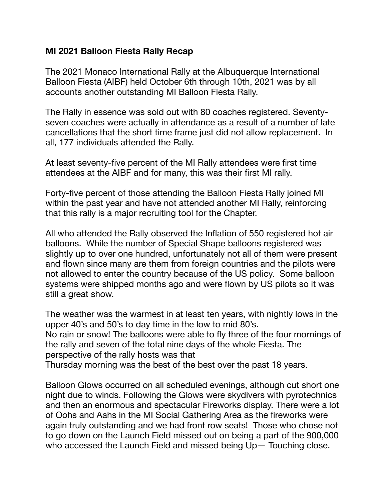## **MI 2021 Balloon Fiesta Rally Recap**

The 2021 Monaco International Rally at the Albuquerque International Balloon Fiesta (AIBF) held October 6th through 10th, 2021 was by all accounts another outstanding MI Balloon Fiesta Rally.

The Rally in essence was sold out with 80 coaches registered. Seventyseven coaches were actually in attendance as a result of a number of late cancellations that the short time frame just did not allow replacement. In all, 177 individuals attended the Rally.

At least seventy-five percent of the MI Rally attendees were first time attendees at the AIBF and for many, this was their first MI rally.

Forty-five percent of those attending the Balloon Fiesta Rally joined MI within the past year and have not attended another MI Rally, reinforcing that this rally is a major recruiting tool for the Chapter.

All who attended the Rally observed the Inflation of 550 registered hot air balloons. While the number of Special Shape balloons registered was slightly up to over one hundred, unfortunately not all of them were present and flown since many are them from foreign countries and the pilots were not allowed to enter the country because of the US policy. Some balloon systems were shipped months ago and were flown by US pilots so it was still a great show.

The weather was the warmest in at least ten years, with nightly lows in the upper 40's and 50's to day time in the low to mid 80's. No rain or snow! The balloons were able to fly three of the four mornings of the rally and seven of the total nine days of the whole Fiesta. The perspective of the rally hosts was that Thursday morning was the best of the best over the past 18 years.

Balloon Glows occurred on all scheduled evenings, although cut short one night due to winds. Following the Glows were skydivers with pyrotechnics and then an enormous and spectacular Fireworks display. There were a lot of Oohs and Aahs in the MI Social Gathering Area as the fireworks were again truly outstanding and we had front row seats! Those who chose not to go down on the Launch Field missed out on being a part of the 900,000 who accessed the Launch Field and missed being Up— Touching close.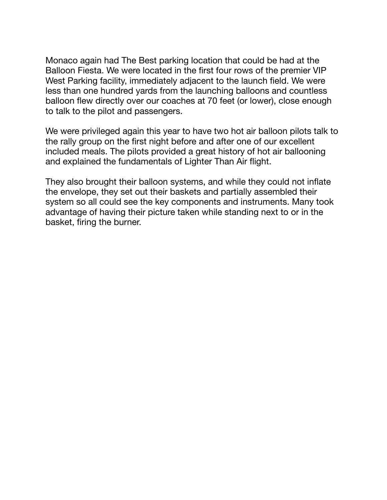Monaco again had The Best parking location that could be had at the Balloon Fiesta. We were located in the first four rows of the premier VIP West Parking facility, immediately adjacent to the launch field. We were less than one hundred yards from the launching balloons and countless balloon flew directly over our coaches at 70 feet (or lower), close enough to talk to the pilot and passengers.

We were privileged again this year to have two hot air balloon pilots talk to the rally group on the first night before and after one of our excellent included meals. The pilots provided a great history of hot air ballooning and explained the fundamentals of Lighter Than Air flight.

They also brought their balloon systems, and while they could not inflate the envelope, they set out their baskets and partially assembled their system so all could see the key components and instruments. Many took advantage of having their picture taken while standing next to or in the basket, firing the burner.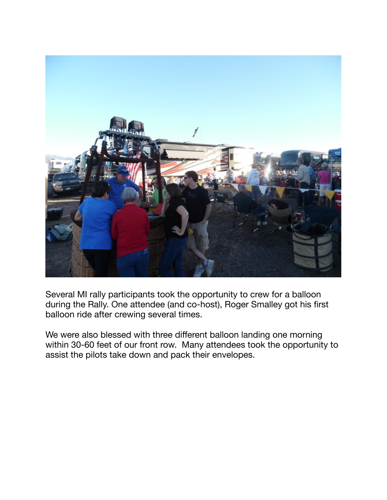

Several MI rally participants took the opportunity to crew for a balloon during the Rally. One attendee (and co-host), Roger Smalley got his first balloon ride after crewing several times.

We were also blessed with three different balloon landing one morning within 30-60 feet of our front row. Many attendees took the opportunity to assist the pilots take down and pack their envelopes.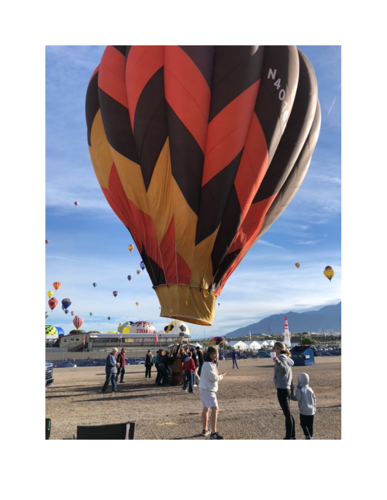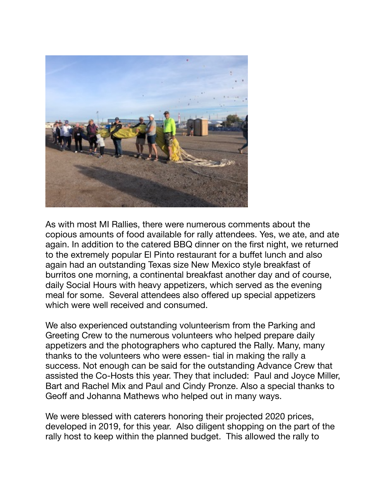

As with most MI Rallies, there were numerous comments about the copious amounts of food available for rally attendees. Yes, we ate, and ate again. In addition to the catered BBQ dinner on the first night, we returned to the extremely popular El Pinto restaurant for a buffet lunch and also again had an outstanding Texas size New Mexico style breakfast of burritos one morning, a continental breakfast another day and of course, daily Social Hours with heavy appetizers, which served as the evening meal for some. Several attendees also offered up special appetizers which were well received and consumed.

We also experienced outstanding volunteerism from the Parking and Greeting Crew to the numerous volunteers who helped prepare daily appetizers and the photographers who captured the Rally. Many, many thanks to the volunteers who were essen- tial in making the rally a success. Not enough can be said for the outstanding Advance Crew that assisted the Co-Hosts this year. They that included: Paul and Joyce Miller, Bart and Rachel Mix and Paul and Cindy Pronze. Also a special thanks to Geoff and Johanna Mathews who helped out in many ways.

We were blessed with caterers honoring their projected 2020 prices, developed in 2019, for this year. Also diligent shopping on the part of the rally host to keep within the planned budget. This allowed the rally to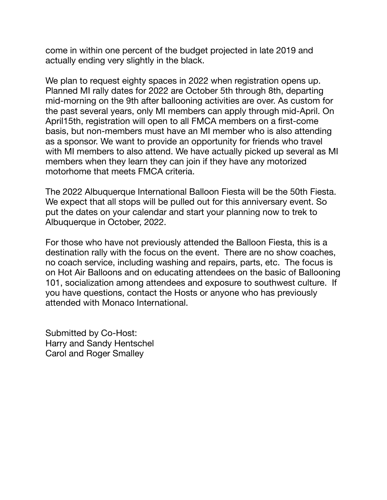come in within one percent of the budget projected in late 2019 and actually ending very slightly in the black.

We plan to request eighty spaces in 2022 when registration opens up. Planned MI rally dates for 2022 are October 5th through 8th, departing mid-morning on the 9th after ballooning activities are over. As custom for the past several years, only MI members can apply through mid-April. On April15th, registration will open to all FMCA members on a first-come basis, but non-members must have an MI member who is also attending as a sponsor. We want to provide an opportunity for friends who travel with MI members to also attend. We have actually picked up several as MI members when they learn they can join if they have any motorized motorhome that meets FMCA criteria.

The 2022 Albuquerque International Balloon Fiesta will be the 50th Fiesta. We expect that all stops will be pulled out for this anniversary event. So put the dates on your calendar and start your planning now to trek to Albuquerque in October, 2022.

For those who have not previously attended the Balloon Fiesta, this is a destination rally with the focus on the event. There are no show coaches, no coach service, including washing and repairs, parts, etc. The focus is on Hot Air Balloons and on educating attendees on the basic of Ballooning 101, socialization among attendees and exposure to southwest culture. If you have questions, contact the Hosts or anyone who has previously attended with Monaco International.

Submitted by Co-Host: Harry and Sandy Hentschel Carol and Roger Smalley